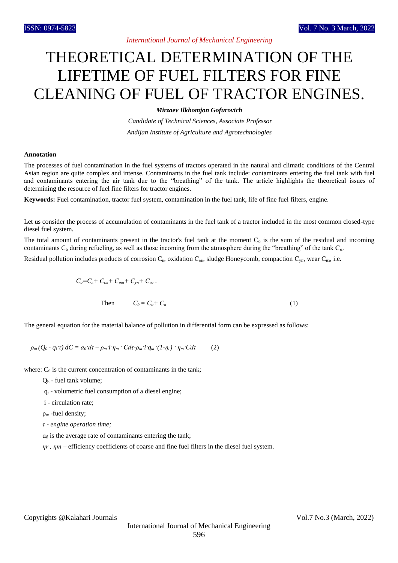## THEORETICAL DETERMINATION OF THE LIFETIME OF FUEL FILTERS FOR FINE CLEANING OF FUEL OF TRACTOR ENGINES.

*Mirzaev Ilkhomjon Gofurovich*

*Candidate of Technical Sciences, Associate Professor Andijan Institute of Agriculture and Agrotechnologies*

## **Annotation**

The processes of fuel contamination in the fuel systems of tractors operated in the natural and climatic conditions of the Central Asian region are quite complex and intense. Contaminants in the fuel tank include: contaminants entering the fuel tank with fuel and contaminants entering the air tank due to the "breathing" of the tank. The article highlights the theoretical issues of determining the resource of fuel fine filters for tractor engines.

**Keywords:** Fuel contamination, tractor fuel system, contamination in the fuel tank, life of fine fuel filters, engine.

Let us consider the process of accumulation of contaminants in the fuel tank of a tractor included in the most common closed-type diesel fuel system.

The total amount of contaminants present in the tractor's fuel tank at the moment  $C_6$  is the sum of the residual and incoming contaminants  $C_0$  during refueling, as well as those incoming from the atmosphere during the "breathing" of the tank  $C_a$ .

Residual pollution includes products of corrosion  $C_{\kappa}$ , oxidation  $C_{\kappa}$ , sludge Honeycomb, compaction  $C_{\gamma n}$ , wear  $C_{n3}$ , i.e.

$$
C_o = C_{\kappa} + C_{ox} + C_{om} + C_{yn} + C_{us}.
$$
  
Then 
$$
C_o = C_o + C_a
$$
 (1)

The general equation for the material balance of pollution in differential form can be expressed as follows:

$$
\rho_m(Q_{\delta} - q_t \tau) dC = a_{\delta} d\tau - \rho_m i \eta_m \cdot C d\tau - \rho_m i q_m (1 - \eta_r) \cdot \eta_m C d\tau \qquad (2)
$$

where:  $C_6$  is the current concentration of contaminants in the tank;

- $Q_b$  fuel tank volume;
- $q_t$  volumetric fuel consumption of a diesel engine;
- i circulation rate;
- ρ*<sup>т</sup>* -fuel density;
- *τ - engine operation time;*
- $a<sub>6</sub>$  is the average rate of contaminants entering the tank;

 *ηr , ηт –* efficiency coefficients of coarse and fine fuel filters in the diesel fuel system.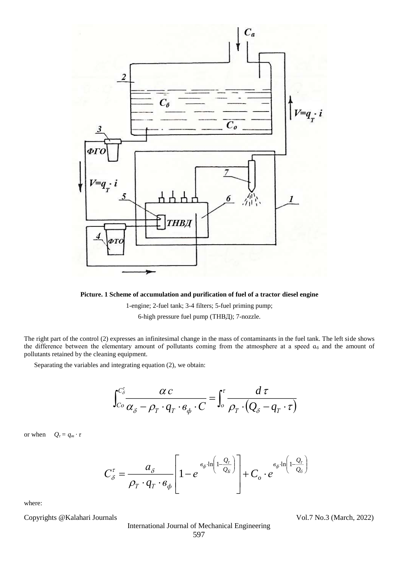

**Picture. 1 Scheme of accumulation and purification of fuel of a tractor diesel engine**

1-engine; 2-fuel tank; 3-4 filters; 5-fuel priming pump;

6-high pressure fuel pump (ТНВД); 7-nozzle.

The right part of the control (2) expresses an infinitesimal change in the mass of contaminants in the fuel tank. The left side shows the difference between the elementary amount of pollutants coming from the atmosphere at a speed  $a_6$  and the amount of pollutants retained by the cleaning equipment.

Separating the variables and integrating equation (2), we obtain:

$$
\int_{C_o}^{C_\delta^{\tau}} \frac{\alpha c}{\alpha_{\delta} - \rho_{T} \cdot q_{T} \cdot \theta_{\phi} \cdot C} = \int_o^{\tau} \frac{d\,\tau}{\rho_{T} \cdot (Q_{\delta} - q_{T} \cdot \tau)}
$$

or when  $Q_{\tau} = q_m \cdot \tau$ 

$$
C_{\delta}^{\tau} = \frac{a_{\delta}}{\rho_{T} \cdot q_{T} \cdot e_{\phi}} \left[ 1 - e^{-\frac{e_{\phi} \cdot \ln\left(1 - \frac{Q_{\tau}}{Q_{\delta}}\right)}{2}} \right] + C_{o} \cdot e^{-\frac{e_{\phi} \cdot \ln\left(1 - \frac{Q_{\tau}}{Q_{\delta}}\right)}{2}}
$$

where:

Copyrights @Kalahari Journals Vol.7 No.3 (March, 2022)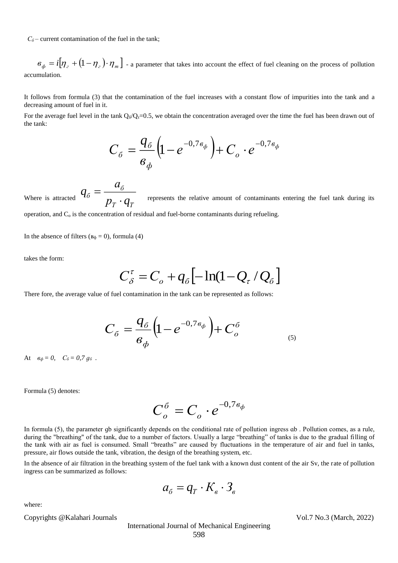$C_6$  – current contamination of the fuel in the tank;

 $\mathcal{B}_{\phi} = i[\eta_{z} + (1 - \eta_{z}) \cdot \eta_{m}]$  - a parameter that takes into account the effect of fuel cleaning on the process of pollution accumulation.

It follows from formula (3) that the contamination of the fuel increases with a constant flow of impurities into the tank and a decreasing amount of fuel in it.

For the average fuel level in the tank  $Q_6/Q_\tau=0.5$ , we obtain the concentration averaged over the time the fuel has been drawn out of the tank:

$$
C_{\delta} = \frac{q_{\delta}}{6_{\phi}} \left( 1 - e^{-0.76_{\phi}} \right) + C_{o} \cdot e^{-0.76_{\phi}}
$$

Where is attracted *Т Т б б*  $p_{\scriptscriptstyle T} \cdot q$ *а*  $q_{\scriptscriptstyle{\delta}} = \frac{1}{p_{\scriptscriptstyle{T}}}$  $\frac{1}{n}$   $\frac{1}{n}$  represents the relative amount of contaminants entering the fuel tank during its operation, and  $C_0$  is the concentration of residual and fuel-borne contaminants during refueling.

In the absence of filters ( $B_{\phi} = 0$ ), formula (4)

takes the form:

$$
C_{\delta}^{\tau} = C_o + q_{\delta} \left[ -\ln(1 - Q_{\tau} / Q_{\delta}) \right]
$$

There fore, the average value of fuel contamination in the tank can be represented as follows:

$$
C_{\delta} = \frac{q_{\delta}}{a_{\phi}} \left( 1 - e^{-0.7 a_{\phi}} \right) + C_{o}^{\delta}
$$

At  $\varepsilon_{\phi} = 0$ ,  $C_{\tilde{\theta}} = 0.7 q_{\tilde{\theta}}$ .

Formula (5) denotes:

$$
C_o^{\delta}=C_o\cdot e^{-0.7s_{\phi}}
$$

In formula (5), the parameter qb significantly depends on the conditional rate of pollution ingress ab. Pollution comes, as a rule, during the "breathing" of the tank, due to a number of factors. Usually a large "breathing" of tanks is due to the gradual filling of the tank with air as fuel is consumed. Small "breaths" are caused by fluctuations in the temperature of air and fuel in tanks, pressure, air flows outside the tank, vibration, the design of the breathing system, etc.

In the absence of air filtration in the breathing system of the fuel tank with a known dust content of the air Sv, the rate of pollution ingress can be summarized as follows:

$$
a_{\delta} = q_{T} \cdot K_{\epsilon} \cdot \mathfrak{Z}_{\epsilon}
$$

where:

Copyrights @Kalahari Journals Vol.7 No.3 (March, 2022)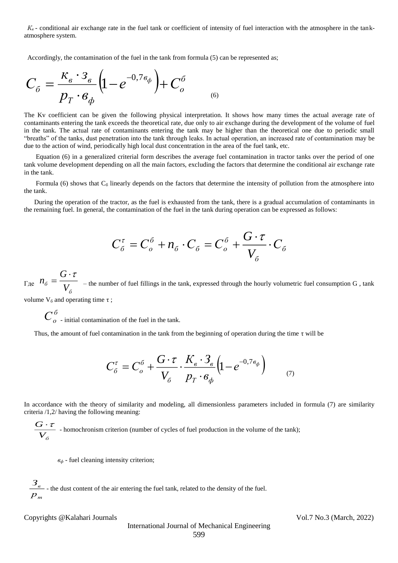*К<sup>в</sup>* - conditional air exchange rate in the fuel tank or coefficient of intensity of fuel interaction with the atmosphere in the tankatmosphere system.

Accordingly, the contamination of the fuel in the tank from formula (5) can be represented as;

$$
C_{\delta} = \frac{\kappa_{\epsilon} \cdot \mathbf{3}_{\epsilon}}{p_{T} \cdot \mathbf{6}_{\phi}} \left( 1 - e^{-0.7 \epsilon_{\phi}} \right) + C_{o}^{\delta}
$$

The Kv coefficient can be given the following physical interpretation. It shows how many times the actual average rate of contaminants entering the tank exceeds the theoretical rate, due only to air exchange during the development of the volume of fuel in the tank. The actual rate of contaminants entering the tank may be higher than the theoretical one due to periodic small "breaths" of the tanks, dust penetration into the tank through leaks. In actual operation, an increased rate of contamination may be due to the action of wind, periodically high local dust concentration in the area of the fuel tank, etc.

 Equation (6) in a generalized criterial form describes the average fuel contamination in tractor tanks over the period of one tank volume development depending on all the main factors, excluding the factors that determine the conditional air exchange rate in the tank.

Formula (6) shows that  $C_6$  linearly depends on the factors that determine the intensity of pollution from the atmosphere into the tank.

 During the operation of the tractor, as the fuel is exhausted from the tank, there is a gradual accumulation of contaminants in the remaining fuel. In general, the contamination of the fuel in the tank during operation can be expressed as follows:

$$
C_{\delta}^{\tau} = C_{o}^{\delta} + n_{\delta} \cdot C_{\delta} = C_{o}^{\delta} + \frac{G \cdot \tau}{V_{\delta}} \cdot C_{\delta}
$$

Где *б б V G n*  $\cdot$   $\tau$  $=\frac{1}{\sqrt{1-\frac{1}{\sqrt{1-\frac{1}{\sqrt{1-\frac{1}{\sqrt{1-\frac{1}{\sqrt{1-\frac{1}{\sqrt{1-\frac{1}{\sqrt{1-\frac{1}{\sqrt{1-\frac{1}{\sqrt{1-\frac{1}{\sqrt{1-\frac{1}{\sqrt{1-\frac{1}{\sqrt{1-\frac{1}{\sqrt{1-\frac{1}{\sqrt{1-\frac{1}{\sqrt{1-\frac{1}{\sqrt{1-\frac{1}{\sqrt{1-\frac{1}{\sqrt{1-\frac{1}{\sqrt{1-\frac{1}{\sqrt{1-\frac{1}{\sqrt{1-\frac{1}{\sqrt{1-\frac{1}{\sqrt{1-\frac{1}{\sqrt{1-\frac{1$ 

volume  $V_6$  and operating time τ;

*б С<sup>о</sup>* - initial contamination of the fuel in the tank.

Thus, the amount of fuel contamination in the tank from the beginning of operation during the time τ will be

$$
C_{\delta}^{\tau} = C_{o}^{\delta} + \frac{G \cdot \tau}{V_{\delta}} \cdot \frac{K_{s} \cdot \mathfrak{Z}_{s}}{p_{T} \cdot \mathfrak{e}_{\phi}} \left(1 - e^{-0.7 \mathfrak{e}_{\phi}}\right) \tag{7}
$$

In accordance with the theory of similarity and modeling, all dimensionless parameters included in formula (7) are similarity criteria /1,2/ having the following meaning:

 $V_{\scriptscriptstyle \tilde{o}}$  $\frac{G \cdot \tau}{\tau}$  - homochronism criterion (number of cycles of fuel production in the volume of the tank);

*в<sup>ф</sup>* - fuel cleaning intensity criterion;

*т р в З* - the dust content of the air entering the fuel tank, related to the density of the fuel.

Copyrights @Kalahari Journals Vol.7 No.3 (March, 2022)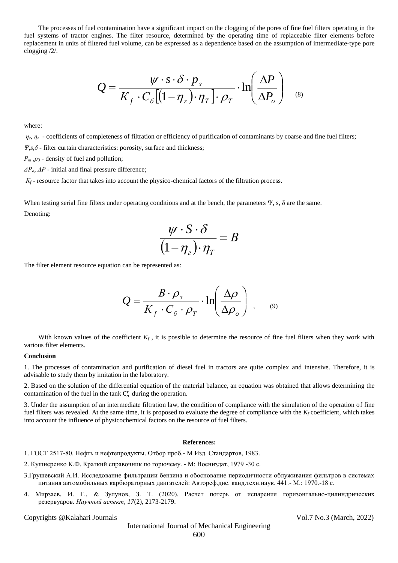The processes of fuel contamination have a significant impact on the clogging of the pores of fine fuel filters operating in the fuel systems of tractor engines. The filter resource, determined by the operating time of replaceable filter elements before replacement in units of filtered fuel volume, can be expressed as a dependence based on the assumption of intermediate-type pore clogging /2/.

$$
Q = \frac{\psi \cdot s \cdot \delta \cdot p_{\scriptscriptstyle{3}}}{K_{\scriptscriptstyle{f}} \cdot C_{\scriptscriptstyle{6}} \left[ (1 - \eta_{\scriptscriptstyle{2}}) \cdot \eta_{\scriptscriptstyle{T}} \right] \cdot \rho_{\scriptscriptstyle{T}} } \cdot \ln \left( \frac{\Delta P}{\Delta P_{\scriptscriptstyle{o}}} \right) \quad \text{as}
$$

where:

 $\eta$ <sup>*<sub><i>i*</sub></sup>  $\eta$ <sup>*z*</sup> - coefficients of completeness of filtration or efficiency of purification of contaminants by coarse and fine fuel filters;</sup> *Ψ,s,δ* - filter curtain characteristics: porosity, surface and thickness;

*Ρ<sup>т</sup> ,ρ<sup>3</sup>* - density of fuel and pollution;

*ΔРо, ΔР* - initial and final pressure difference;

*К<sup>f</sup>* - resource factor that takes into account the physico-chemical factors of the filtration process.

When testing serial fine filters under operating conditions and at the bench, the parameters Ψ, s, δ are the same. Denoting:

$$
\frac{\psi \cdot S \cdot \delta}{(1 - \eta_z) \cdot \eta_T} = B
$$

The filter element resource equation can be represented as:

$$
Q = \frac{B \cdot \rho_s}{K_f \cdot C_\sigma \cdot \rho_T} \cdot \ln\left(\frac{\Delta \rho}{\Delta \rho_o}\right) , \quad (9)
$$

With known values of the coefficient  $K_f$ , it is possible to determine the resource of fine fuel filters when they work with various filter elements.

## **Conclusion**

1. The processes of contamination and purification of diesel fuel in tractors are quite complex and intensive. Therefore, it is advisable to study them by imitation in the laboratory.

2. Based on the solution of the differential equation of the material balance, an equation was obtained that allows determining the contamination of the fuel in the tank  $C_{\sigma}^{\tau}$  during the operation.

3. Under the assumption of an intermediate filtration law, the condition of compliance with the simulation of the operation of fine fuel filters was revealed. At the same time, it is proposed to evaluate the degree of compliance with the *K<sup>f</sup>* coefficient, which takes into account the influence of physicochemical factors on the resource of fuel filters.

## **References:**

1. ГОСТ 2517-80. Нефть и нефтепродукты. Отбор проб.- М Изд. Стандартов, 1983.

- 2. Кушнеренко К.Ф. Краткий справочник по горючему. М: Воениздат, 1979 -30 с.
- 3.Грушевский А.И. Исследование фильтрации бензина и обоснование периодичности облуживания фильтров в системах питания автомобильных карбюраторных двигателей: Автореф.дис. канд.техн.наук. 441.- М.: 1970.-18 с.
- 4. Мирзаев, И. Г., & Зулунов, З. Т. (2020). Расчет потерь от испарения горизонтально-цилиндрических резервуаров. *Научный аспект*, *17*(2), 2173-2179.

Copyrights @Kalahari Journals Vol.7 No.3 (March, 2022)